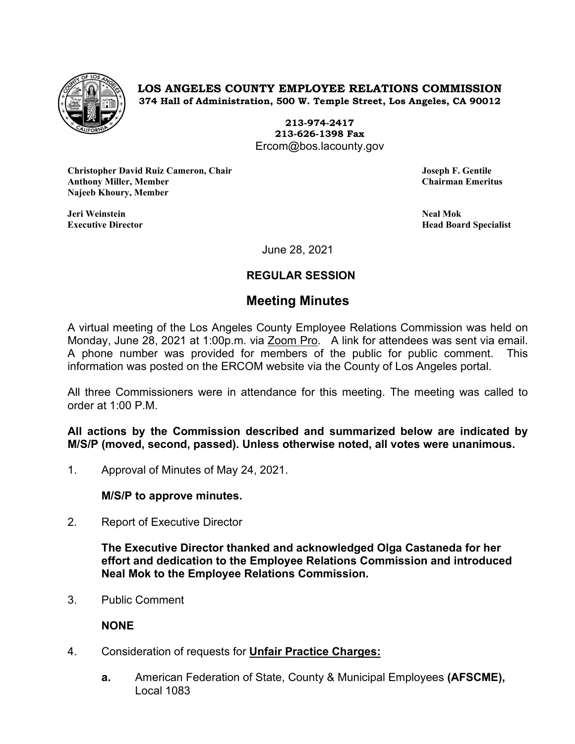

**LOS ANGELES COUNTY EMPLOYEE RELATIONS COMMISSION 374 Hall of Administration, 500 W. Temple Street, Los Angeles, CA 90012**

> **213-974-2417 213-626-1398 Fax** Ercom@bos.lacounty.gov

**Christopher David Ruiz Cameron, Chair Joseph F. Gentile Anthony Miller, Member Najeeb Khoury, Member**

**Jeri Weinstein Neal Mok**

**Executive Director Head Board Specialist**

June 28, 2021

## **REGULAR SESSION**

# **Meeting Minutes**

A virtual meeting of the Los Angeles County Employee Relations Commission was held on Monday, June 28, 2021 at 1:00p.m. via Zoom Pro. A link for attendees was sent via email. A phone number was provided for members of the public for public comment. This information was posted on the ERCOM website via the County of Los Angeles portal.

All three Commissioners were in attendance for this meeting. The meeting was called to order at 1:00 P.M.

**All actions by the Commission described and summarized below are indicated by M/S/P (moved, second, passed). Unless otherwise noted, all votes were unanimous.**

1. Approval of Minutes of May 24, 2021.

**M/S/P to approve minutes.**

2. Report of Executive Director

**The Executive Director thanked and acknowledged Olga Castaneda for her effort and dedication to the Employee Relations Commission and introduced Neal Mok to the Employee Relations Commission.**

3. Public Comment

## **NONE**

- 4. Consideration of requests for **Unfair Practice Charges:**
	- **a.** American Federation of State, County & Municipal Employees **(AFSCME),** Local 1083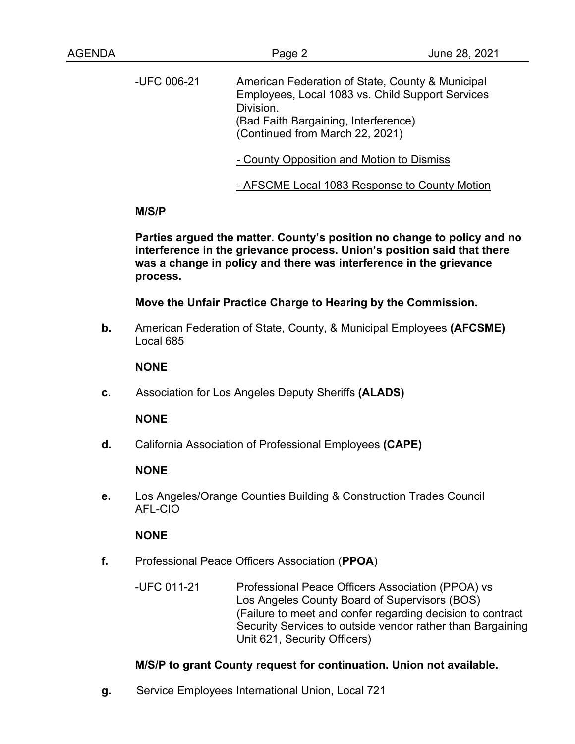| AGENDA |             | Page 2                                                                                                                                                                                       | June 28, 2021 |
|--------|-------------|----------------------------------------------------------------------------------------------------------------------------------------------------------------------------------------------|---------------|
|        | -UFC 006-21 | American Federation of State, County & Municipal<br>Employees, Local 1083 vs. Child Support Services<br>Division.<br>(Bad Faith Bargaining, Interference)<br>(Continued from March 22, 2021) |               |
|        |             | - County Opposition and Motion to Dismiss                                                                                                                                                    |               |
|        |             | - AFSCME Local 1083 Response to County Motion                                                                                                                                                |               |

## **M/S/P**

**Parties argued the matter. County's position no change to policy and no interference in the grievance process. Union's position said that there was a change in policy and there was interference in the grievance process.** 

**Move the Unfair Practice Charge to Hearing by the Commission.**

**b.** American Federation of State, County, & Municipal Employees **(AFCSME)** Local 685

## **NONE**

**c.** Association for Los Angeles Deputy Sheriffs **(ALADS)**

## **NONE**

**d.** California Association of Professional Employees **(CAPE)**

## **NONE**

**e.** Los Angeles/Orange Counties Building & Construction Trades Council AFL-CIO

## **NONE**

- **f.** Professional Peace Officers Association (**PPOA**)
	- -UFC 011-21 Professional Peace Officers Association (PPOA) vs Los Angeles County Board of Supervisors (BOS) (Failure to meet and confer regarding decision to contract Security Services to outside vendor rather than Bargaining Unit 621, Security Officers)

# **M/S/P to grant County request for continuation. Union not available.**

**g.** Service Employees International Union, Local 721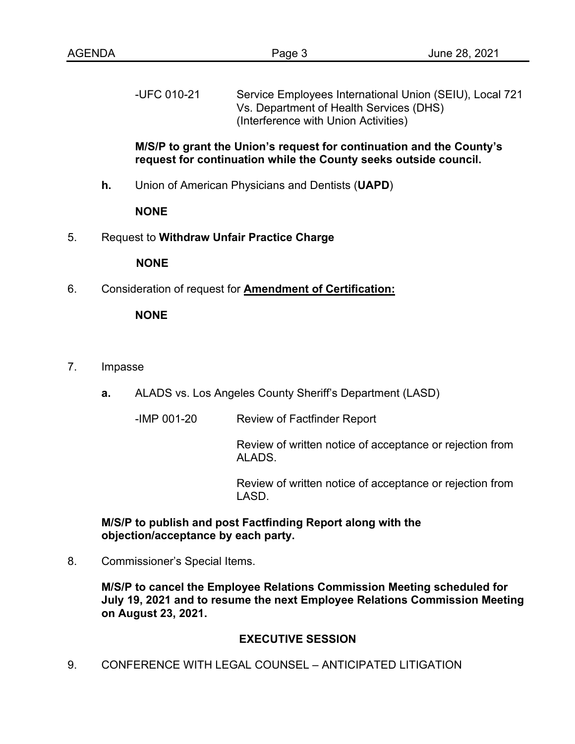-UFC 010-21 Service Employees International Union (SEIU), Local 721 Vs. Department of Health Services (DHS) (Interference with Union Activities)

### **M/S/P to grant the Union's request for continuation and the County's request for continuation while the County seeks outside council.**

**h.** Union of American Physicians and Dentists (**UAPD**)

#### **NONE**

5. Request to **Withdraw Unfair Practice Charge**

#### **NONE**

6. Consideration of request for **Amendment of Certification:**

## **NONE**

- 7. Impasse
	- **a.** ALADS vs. Los Angeles County Sheriff's Department (LASD)
		- -IMP 001-20 Review of Factfinder Report

Review of written notice of acceptance or rejection from ALADS.

Review of written notice of acceptance or rejection from LASD.

## **M/S/P to publish and post Factfinding Report along with the objection/acceptance by each party.**

8. Commissioner's Special Items.

**M/S/P to cancel the Employee Relations Commission Meeting scheduled for July 19, 2021 and to resume the next Employee Relations Commission Meeting on August 23, 2021.**

## **EXECUTIVE SESSION**

9. CONFERENCE WITH LEGAL COUNSEL – ANTICIPATED LITIGATION